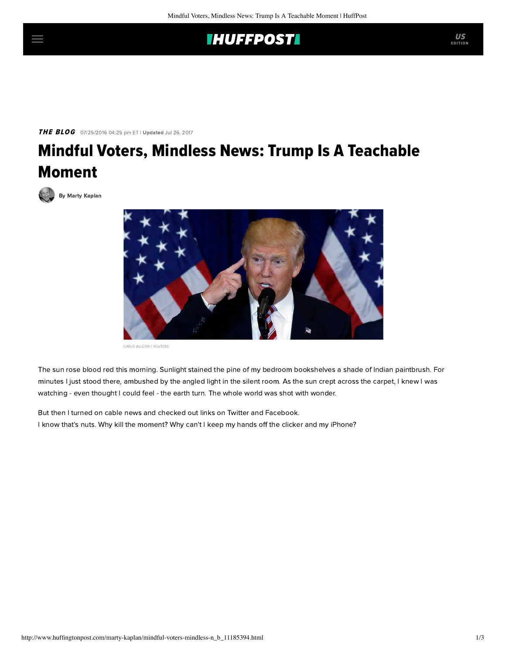## **IHUFFPOSTI**

THE BLOG 07/25/2016 04:25 pm ET | Updated Jul 26, 2017

## Mindful Voters, Mindless News: Trump Is A Teachable Moment

[By Marty Kaplan](http://www.huffingtonpost.com/author/marty-kaplan)



CARLO ALLEGRI / REUTERS

The sun rose blood red this morning. Sunlight stained the pine of my bedroom bookshelves a shade of Indian paintbrush. For minutes I just stood there, ambushed by the angled light in the silent room. As the sun crept across the carpet, I knew I was watching - even thought I could feel - the earth turn. The whole world was shot with wonder.

But then I turned on cable news and checked out links on Twitter and Facebook. I know that's nuts. Why kill the moment? Why can't I keep my hands off the clicker and my iPhone? US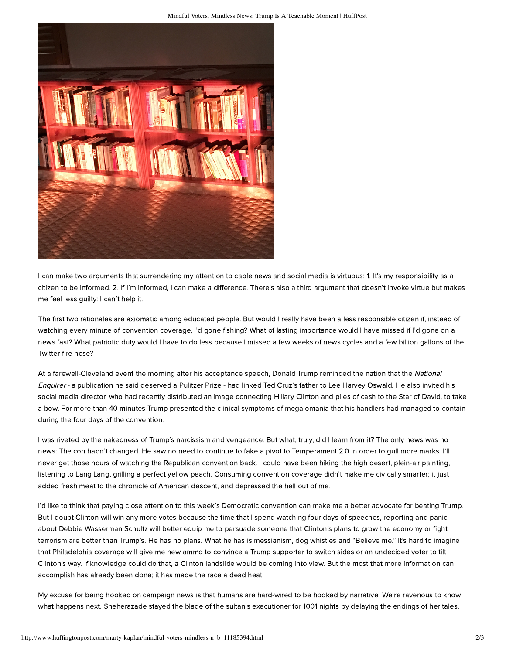

I can make two arguments that surrendering my attention to cable news and social media is virtuous: 1. It's my responsibility as a citizen to be informed. 2. If I'm informed, I can make a difference. There's also a third argument that doesn't invoke virtue but makes me feel less guilty: I can't help it.

The first two rationales are axiomatic among educated people. But would I really have been a less responsible citizen if, instead of watching every minute of convention coverage, I'd gone fishing? What of lasting importance would I have missed if I'd gone on a news fast? What patriotic duty would I have to do less because I missed a few weeks of news cycles and a few billion gallons of the Twitter fire hose?

At a farewell-Cleveland event the morning after his acceptance speech, Donald Trump reminded the nation that the National Enquirer - a publication he said deserved a Pulitzer Prize - had linked Ted Cruz's father to Lee Harvey Oswald. He also invited his social media director, who had recently distributed an image connecting Hillary Clinton and piles of cash to the Star of David, to take a bow. For more than 40 minutes Trump presented the clinical symptoms of megalomania that his handlers had managed to contain during the four days of the convention.

I was riveted by the nakedness of Trump's narcissism and vengeance. But what, truly, did I learn from it? The only news was no news: The con hadn't changed. He saw no need to continue to fake a pivot to Temperament 2.0 in order to gull more marks. I'll never get those hours of watching the Republican convention back. I could have been hiking the high desert, plein-air painting, listening to Lang Lang, grilling a perfect yellow peach. Consuming convention coverage didn't make me civically smarter; it just added fresh meat to the chronicle of American descent, and depressed the hell out of me.

I'd like to think that paying close attention to this week's Democratic convention can make me a better advocate for beating Trump. But I doubt Clinton will win any more votes because the time that I spend watching four days of speeches, reporting and panic about Debbie Wasserman Schultz will better equip me to persuade someone that Clinton's plans to grow the economy or fight terrorism are better than Trump's. He has no plans. What he has is messianism, dog whistles and "Believe me." It's hard to imagine that Philadelphia coverage will give me new ammo to convince a Trump supporter to switch sides or an undecided voter to tilt Clinton's way. If knowledge could do that, a Clinton landslide would be coming into view. But the most that more information can accomplish has already been done; it has made the race a dead heat.

My excuse for being hooked on campaign news is that humans are hard-wired to be hooked by narrative. We're ravenous to know what happens next. Sheherazade stayed the blade of the sultan's executioner for 1001 nights by delaying the endings of her tales.